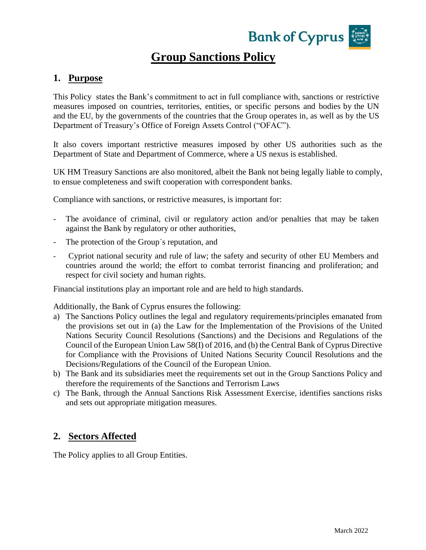

# **Group Sanctions Policy**

### **1. Purpose**

This Policy states the Bank's commitment to act in full compliance with, sanctions or restrictive measures imposed on countries, territories, entities, or specific persons and bodies by the UN and the EU, by the governments of the countries that the Group operates in, as well as by the US Department of Treasury's Office of Foreign Assets Control ("OFAC").

It also covers important restrictive measures imposed by other US authorities such as the Department of State and Department of Commerce, where a US nexus is established.

UK HM Treasury Sanctions are also monitored, albeit the Bank not being legally liable to comply, to ensue completeness and swift cooperation with correspondent banks.

Compliance with sanctions, or restrictive measures, is important for:

- The avoidance of criminal, civil or regulatory action and/or penalties that may be taken against the Bank by regulatory or other authorities,
- The protection of the Group's reputation, and
- Cypriot national security and rule of law; the safety and security of other EU Members and countries around the world; the effort to combat terrorist financing and proliferation; and respect for civil society and human rights.

Financial institutions play an important role and are held to high standards.

Additionally, the Bank of Cyprus ensures the following:

- a) The Sanctions Policy outlines the legal and regulatory requirements/principles emanated from the provisions set out in (a) the Law for the Implementation of the Provisions of the United Nations Security Council Resolutions (Sanctions) and the Decisions and Regulations of the Council of the European Union Law 58(I) of 2016, and (b) the Central Bank of Cyprus Directive for Compliance with the Provisions of United Nations Security Council Resolutions and the Decisions/Regulations of the Council of the European Union.
- b) The Bank and its subsidiaries meet the requirements set out in the Group Sanctions Policy and therefore the requirements of the Sanctions and Terrorism Laws
- c) The Bank, through the Annual Sanctions Risk Assessment Exercise, identifies sanctions risks and sets out appropriate mitigation measures.

# **2. Sectors Affected**

The Policy applies to all Group Entities.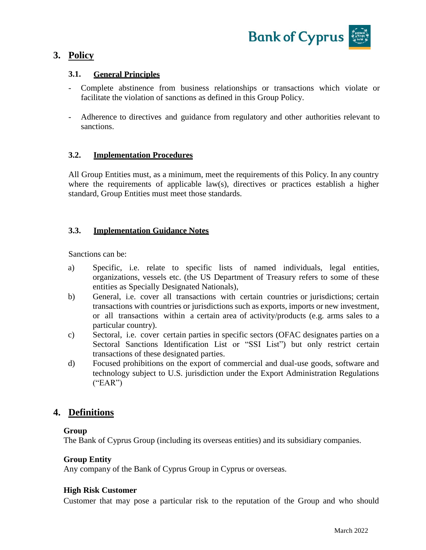

# **3. Policy**

# **3.1. General Principles**

- Complete abstinence from business relationships or transactions which violate or facilitate the violation of sanctions as defined in this Group Policy.
- Adherence to directives and guidance from regulatory and other authorities relevant to sanctions.

### **3.2. Implementation Procedures**

All Group Entities must, as a minimum, meet the requirements of this Policy. In any country where the requirements of applicable law(s), directives or practices establish a higher standard, Group Entities must meet those standards.

### **3.3. Implementation Guidance Notes**

Sanctions can be:

- a) Specific, i.e. relate to specific lists of named individuals, legal entities, organizations, vessels etc. (the US Department of Treasury refers to some of these entities as Specially Designated Nationals),
- b) General, i.e. cover all transactions with certain countries or jurisdictions; certain transactions with countries or jurisdictions such as exports, imports or new investment, or all transactions within a certain area of activity/products (e.g. arms sales to a particular country).
- c) Sectoral, i.e. cover certain parties in specific sectors (OFAC designates parties on a Sectoral Sanctions Identification List or "SSI List") but only restrict certain transactions of these designated parties.
- d) Focused prohibitions on the export of commercial and dual-use goods, software and technology subject to U.S. jurisdiction under the Export Administration Regulations  $("EAR")$

# **4. Definitions**

### **Group**

The Bank of Cyprus Group (including its overseas entities) and its subsidiary companies.

### **Group Entity**

Any company of the Bank of Cyprus Group in Cyprus or overseas.

### **High Risk Customer**

Customer that may pose a particular risk to the reputation of the Group and who should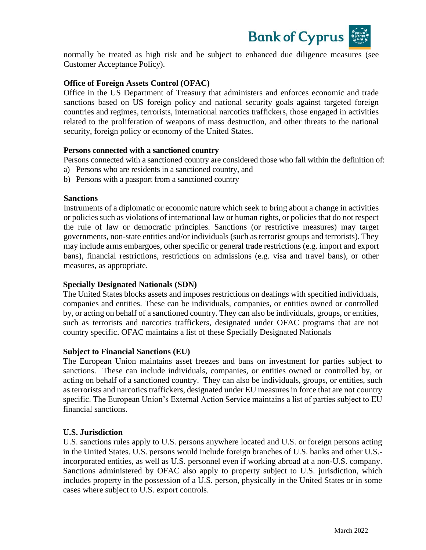

normally be treated as high risk and be subject to enhanced due diligence measures (see Customer Acceptance Policy).

#### **Office of Foreign Assets Control (OFAC)**

Office in the US Department of Treasury that administers and enforces economic and trade sanctions based on US foreign policy and national security goals against targeted foreign countries and regimes, terrorists, international narcotics traffickers, those engaged in activities related to the proliferation of weapons of mass destruction, and other threats to the national security, foreign policy or economy of the United States.

#### **Persons connected with a sanctioned country**

Persons connected with a sanctioned country are considered those who fall within the definition of:

- a) Persons who are residents in a sanctioned country, and
- b) Persons with a passport from a sanctioned country

#### **Sanctions**

Instruments of a diplomatic or economic nature which seek to bring about a change in activities or policies such as violations of international law or human rights, or policies that do not respect the rule of law or democratic principles. Sanctions (or restrictive measures) may target governments, non-state entities and/or individuals (such as terrorist groups and terrorists). They may include arms embargoes, other specific or general trade restrictions (e.g. import and export bans), financial restrictions, restrictions on admissions (e.g. visa and travel bans), or other measures, as appropriate.

### **Specially Designated Nationals (SDN)**

The United States blocks assets and imposes restrictions on dealings with specified individuals, companies and entities. These can be individuals, companies, or entities owned or controlled by, or acting on behalf of a sanctioned country. They can also be individuals, groups, or entities, such as terrorists and narcotics traffickers, designated under OFAC programs that are not country specific. OFAC maintains a list of these Specially Designated Nationals

#### **Subject to Financial Sanctions (EU)**

The European Union maintains asset freezes and bans on investment for parties subject to sanctions. These can include individuals, companies, or entities owned or controlled by, or acting on behalf of a sanctioned country. They can also be individuals, groups, or entities, such as terrorists and narcotics traffickers, designated under EU measures in force that are not country specific. The European Union's External Action Service maintains a list of parties subject to EU financial sanctions.

### **U.S. Jurisdiction**

U.S. sanctions rules apply to U.S. persons anywhere located and U.S. or foreign persons acting in the United States. U.S. persons would include foreign branches of U.S. banks and other U.S. incorporated entities, as well as U.S. personnel even if working abroad at a non-U.S. company. Sanctions administered by OFAC also apply to property subject to U.S. jurisdiction, which includes property in the possession of a U.S. person, physically in the United States or in some cases where subject to U.S. export controls.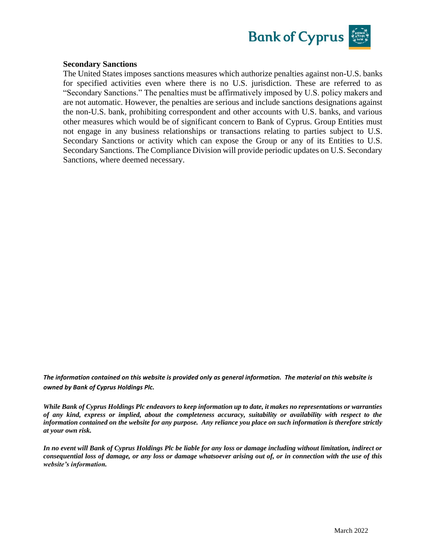

#### **Secondary Sanctions**

The United States imposes sanctions measures which authorize penalties against non-U.S. banks for specified activities even where there is no U.S. jurisdiction. These are referred to as "Secondary Sanctions." The penalties must be affirmatively imposed by U.S. policy makers and are not automatic. However, the penalties are serious and include sanctions designations against the non-U.S. bank, prohibiting correspondent and other accounts with U.S. banks, and various other measures which would be of significant concern to Bank of Cyprus. Group Entities must not engage in any business relationships or transactions relating to parties subject to U.S. Secondary Sanctions or activity which can expose the Group or any of its Entities to U.S. Secondary Sanctions. The Compliance Division will provide periodic updates on U.S. Secondary Sanctions, where deemed necessary.

*The information contained on this website is provided only as general information. The material on this website is owned by Bank of Cyprus Holdings Plc.*

*While Bank of Cyprus Holdings Plc endeavors to keep information up to date, it makes no representations or warranties of any kind, express or implied, about the completeness accuracy, suitability or availability with respect to the information contained on the website for any purpose. Any reliance you place on such information is therefore strictly at your own risk.* 

*In no event will Bank of Cyprus Holdings Plc be liable for any loss or damage including without limitation, indirect or consequential loss of damage, or any loss or damage whatsoever arising out of, or in connection with the use of this website's information.*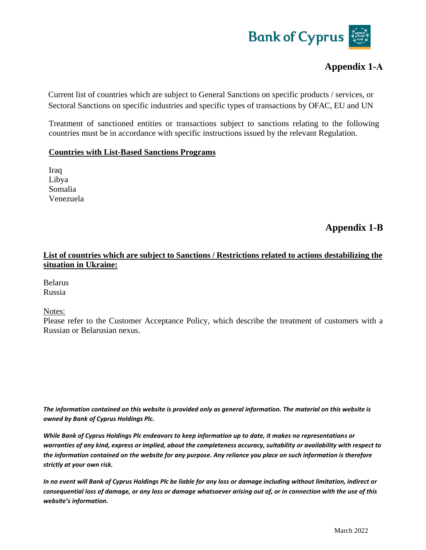

# **Appendix 1-Α**

Current list of countries which are subject to General Sanctions on specific products / services, or Sectoral Sanctions on specific industries and specific types of transactions by OFAC, EU and UN

Treatment of sanctioned entities or transactions subject to sanctions relating to the following countries must be in accordance with specific instructions issued by the relevant Regulation.

#### **Countries with List-Based Sanctions Programs**

Iraq Libya Somalia Venezuela

**Appendix 1-Β**

# **List of countries which are subject to Sanctions / Restrictions related to actions destabilizing the situation in Ukraine:**

Belarus Russia

Notes:

Please refer to the Customer Acceptance Policy, which describe the treatment of customers with a Russian or Belarusian nexus.

*The information contained on this website is provided only as general information. The material on this website is owned by Bank of Cyprus Holdings Plc.* 

*While Bank of Cyprus Holdings Plc endeavors to keep information up to date, it makes no representations or warranties of any kind, express or implied, about the completeness accuracy, suitability or availability with respect to the information contained on the website for any purpose. Any reliance you place on such information is therefore strictly at your own risk.* 

*In no event will Bank of Cyprus Holdings Plc be liable for any loss or damage including without limitation, indirect or consequential loss of damage, or any loss or damage whatsoever arising out of, or in connection with the use of this website's information.*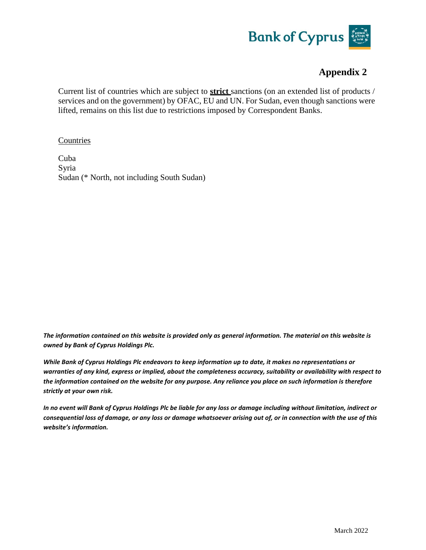

# **Appendix 2**

Current list of countries which are subject to **strict** sanctions (on an extended list of products / services and on the government) by OFAC, EU and UN. For Sudan, even though sanctions were lifted, remains on this list due to restrictions imposed by Correspondent Banks.

#### Countries

Cuba Syria Sudan (\* North, not including South Sudan)

*The information contained on this website is provided only as general information. The material on this website is owned by Bank of Cyprus Holdings Plc.* 

*While Bank of Cyprus Holdings Plc endeavors to keep information up to date, it makes no representations or warranties of any kind, express or implied, about the completeness accuracy, suitability or availability with respect to the information contained on the website for any purpose. Any reliance you place on such information is therefore strictly at your own risk.* 

*In no event will Bank of Cyprus Holdings Plc be liable for any loss or damage including without limitation, indirect or consequential loss of damage, or any loss or damage whatsoever arising out of, or in connection with the use of this website's information.*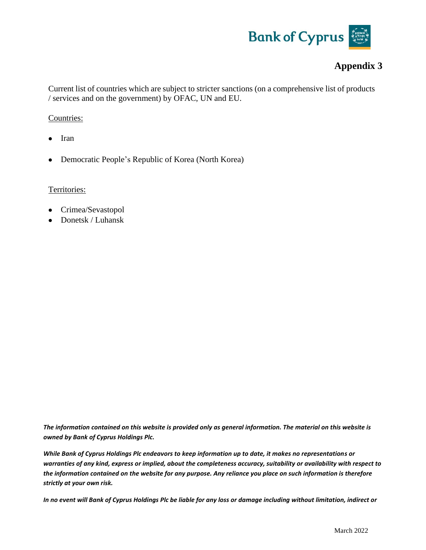

# **Appendix 3**

Current list of countries which are subject to stricter sanctions (on a comprehensive list of products / services and on the government) by OFAC, UN and EU.

### Countries:

- Iran
- Democratic People's Republic of Korea (North Korea)

#### Territories:

- Crimea/Sevastopol
- Donetsk / Luhansk

*The information contained on this website is provided only as general information. The material on this website is owned by Bank of Cyprus Holdings Plc.* 

*While Bank of Cyprus Holdings Plc endeavors to keep information up to date, it makes no representations or warranties of any kind, express or implied, about the completeness accuracy, suitability or availability with respect to the information contained on the website for any purpose. Any reliance you place on such information is therefore strictly at your own risk.* 

*In no event will Bank of Cyprus Holdings Plc be liable for any loss or damage including without limitation, indirect or*